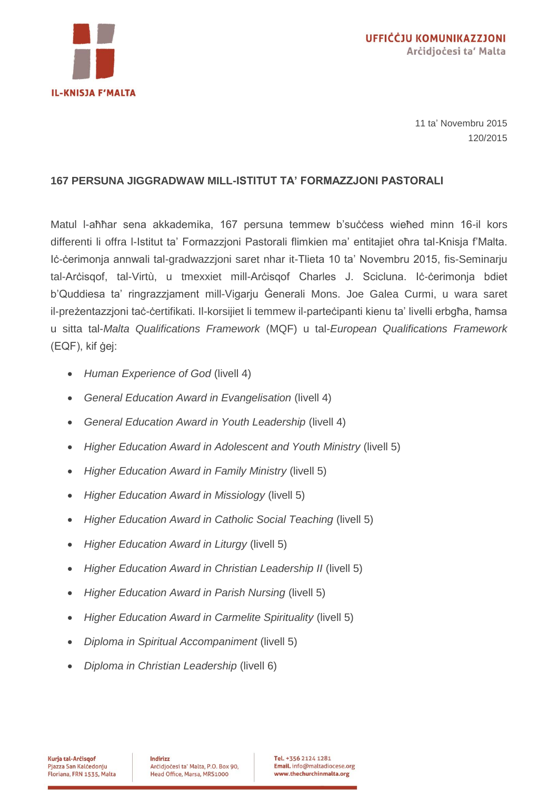

11 ta' Novembru 2015 120/2015

## **167 PERSUNA JIGGRADWAW MILL-ISTITUT TA' FORMAZZJONI PASTORALI**

Matul I-aħħar sena akkademika, 167 persuna temmew b'suċċess wieħed minn 16-il kors differenti li offra l-Istitut ta' Formazzjoni Pastorali flimkien ma' entitajiet oħra tal-Knisja f'Malta. Iċ-ċerimonja annwali tal-gradwazzjoni saret nhar it-Tlieta 10 ta' Novembru 2015, fis-Seminarju tal-Arċisqof, tal-Virtù, u tmexxiet mill-Arċisqof Charles J. Scicluna. Iċ-ċerimonja bdiet b'Quddiesa ta' ringrazzjament mill-Vigarju Ġenerali Mons. Joe Galea Curmi, u wara saret il-preżentazzjoni taċ-ċertifikati. Il-korsijiet li temmew il-parteċipanti kienu ta' livelli erbgħa, ħamsa u sitta tal-*Malta Qualifications Framework* (MQF) u tal-*European Qualifications Framework* (EQF), kif ġej:

- *Human Experience of God* (livell 4)
- *General Education Award in Evangelisation* (livell 4)
- *General Education Award in Youth Leadership* (livell 4)
- *Higher Education Award in Adolescent and Youth Ministry* (livell 5)
- *Higher Education Award in Family Ministry* (livell 5)
- *Higher Education Award in Missiology* (livell 5)
- *Higher Education Award in Catholic Social Teaching* (livell 5)
- *Higher Education Award in Liturgy* (livell 5)
- *Higher Education Award in Christian Leadership II* (livell 5)
- *Higher Education Award in Parish Nursing* (livell 5)
- *Higher Education Award in Carmelite Spirituality* (livell 5)
- *Diploma in Spiritual Accompaniment* (livell 5)
- *Diploma in Christian Leadership* (livell 6)